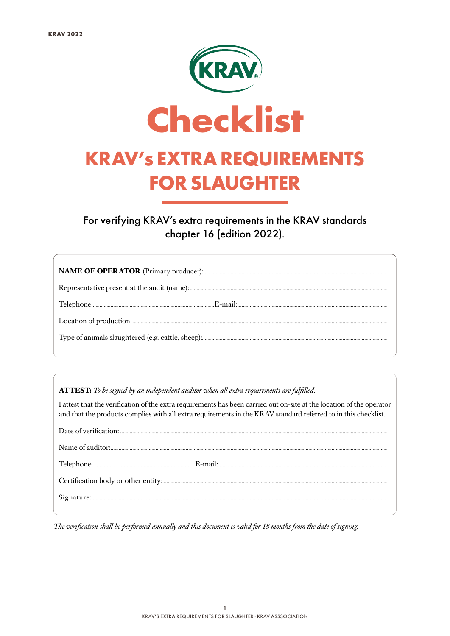

For verifying KRAV's extra requirements in the KRAV standards chapter 16 (edition 2022).

ATTEST: To be signed by an independent auditor when all extra requirements are fulfilled.

I attest that the verification of the extra requirements has been carried out on-site at the location of the operator and that the products complies with all extra requirements in the KRAV standard referred to in this checklist.

The verification shall be performed annually and this document is valid for 18 months from the date of signing.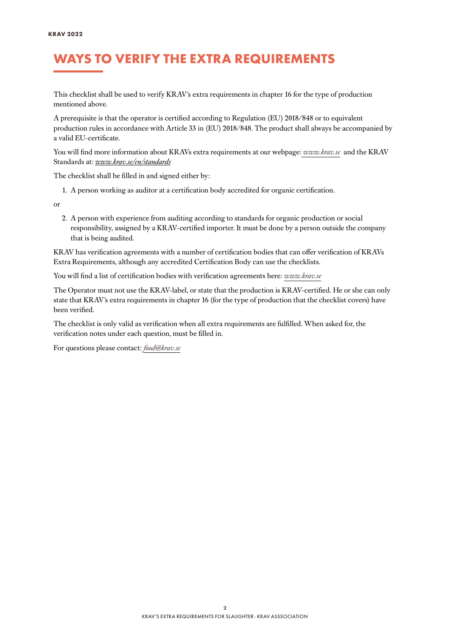### WAYS TO VERIFY THE EXTRA REQUIREMENTS

This checklist shall be used to verify KRAV´s extra requirements in chapter 16 for the type of production mentioned above.

A prerequisite is that the operator is certified according to Regulation (EU) 2018/848 or to equivalent production rules in accordance with Article 33 in (EU) 2018/848. The product shall always be accompanied by a valid EU-certificate.

You will find more information about KRAVs extra requirements at our webpage: *[www.krav.se](www.krav.se/en/for-companies/extra-requirements-for-all-products/)* and the KRAV Standards at: *[www.krav.se/en/standards](https://www.krav.se/en/standards)*

The checklist shall be filled in and signed either by:

1. A person working as auditor at a certification body accredited for organic certification.

or

2. A person with experience from auditing according to standards for organic production or social responsibility, assigned by a KRAV-certified importer. It must be done by a person outside the company that is being audited.

KRAV has verification agreements with a number of certification bodies that can offer verification of KRAVs Extra Requirements, although any accredited Certification Body can use the checklists.

You will find a list of certification bodies with verification agreements here: *[www.krav.se](https://www.krav.se/en/asset/certification-bodies-with-verification-agreement/)*

The Operator must not use the KRAV-label, or state that the production is KRAV-certified. He or she can only state that KRAV´s extra requirements in chapter 16 (for the type of production that the checklist covers) have been verified.

The checklist is only valid as verification when all extra requirements are fulfilled. When asked for, the verification notes under each question, must be filled in.

For questions please contact: *[food@krav.se](mailto:food%40krav.se?subject=From%20extra%20requirements)*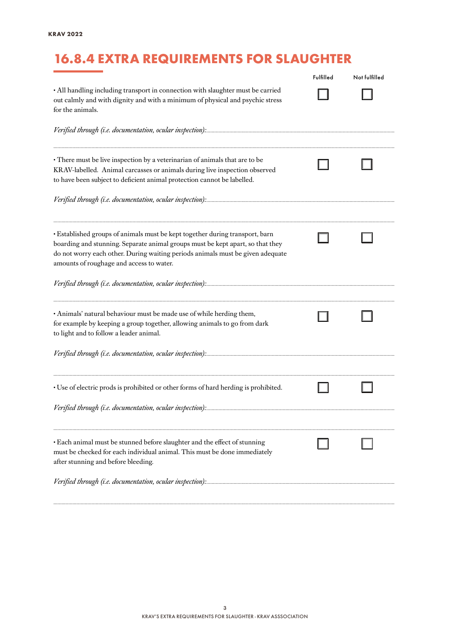# 16.8.4 EXTRA REQUIREMENTS FOR SLAUGHTER

|                                                                                                                                                                                                                                                                                              | Fulfilled | Not fulfilled |
|----------------------------------------------------------------------------------------------------------------------------------------------------------------------------------------------------------------------------------------------------------------------------------------------|-----------|---------------|
| • All handling including transport in connection with slaughter must be carried<br>out calmly and with dignity and with a minimum of physical and psychic stress<br>for the animals.                                                                                                         |           |               |
|                                                                                                                                                                                                                                                                                              |           |               |
| • There must be live inspection by a veterinarian of animals that are to be<br>KRAV-labelled. Animal carcasses or animals during live inspection observed<br>to have been subject to deficient animal protection cannot be labelled.                                                         |           |               |
|                                                                                                                                                                                                                                                                                              |           |               |
| · Established groups of animals must be kept together during transport, barn<br>boarding and stunning. Separate animal groups must be kept apart, so that they<br>do not worry each other. During waiting periods animals must be given adequate<br>amounts of roughage and access to water. |           |               |
|                                                                                                                                                                                                                                                                                              |           |               |
| · Animals' natural behaviour must be made use of while herding them,<br>for example by keeping a group together, allowing animals to go from dark<br>to light and to follow a leader animal.                                                                                                 |           |               |
|                                                                                                                                                                                                                                                                                              |           |               |
| · Use of electric prods is prohibited or other forms of hard herding is prohibited.                                                                                                                                                                                                          |           |               |
|                                                                                                                                                                                                                                                                                              |           |               |
| • Each animal must be stunned before slaughter and the effect of stunning<br>must be checked for each individual animal. This must be done immediately<br>after stunning and before bleeding.                                                                                                |           |               |
|                                                                                                                                                                                                                                                                                              |           |               |
|                                                                                                                                                                                                                                                                                              |           |               |

*..........................................................................................................................................................................................................................................................*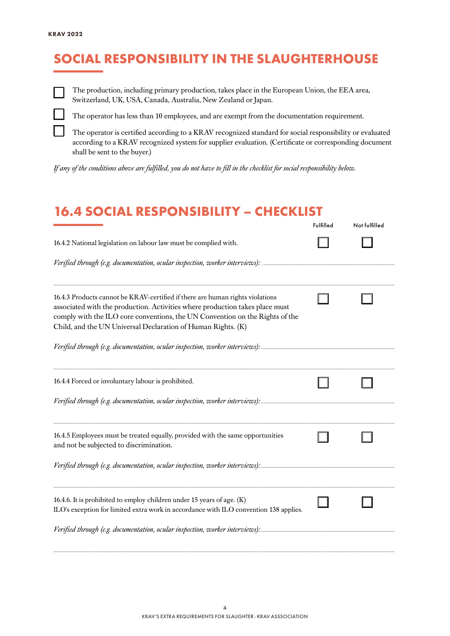## SOCIAL RESPONSIBILITY IN THE SLAUGHTERHOUSE

The production, including primary production, takes place in the European Union, the EEA area, Switzerland, UK, USA, Canada, Australia, New Zealand or Japan.

The operator has less than 10 employees, and are exempt from the documentation requirement.

The operator is certified according to a KRAV recognized standard for social responsibility or evaluated according to a KRAV recognized system for supplier evaluation. (Certificate or corresponding document shall be sent to the buyer.)

*If any of the conditions above are fulfilled, you do not have to fill in the checklist for social responsibility below.*

#### 16.4 SOCIAL RESPONSIBILITY – CHECKLIST

|                                                                                                                                                                                                                                                                                                               | Fulfilled | Not fulfilled |
|---------------------------------------------------------------------------------------------------------------------------------------------------------------------------------------------------------------------------------------------------------------------------------------------------------------|-----------|---------------|
| 16.4.2 National legislation on labour law must be complied with.                                                                                                                                                                                                                                              |           |               |
|                                                                                                                                                                                                                                                                                                               |           |               |
| 16.4.3 Products cannot be KRAV-certified if there are human rights violations<br>associated with the production. Activities where production takes place must<br>comply with the ILO core conventions, the UN Convention on the Rights of the<br>Child, and the UN Universal Declaration of Human Rights. (K) |           |               |
|                                                                                                                                                                                                                                                                                                               |           |               |
| 16.4.4 Forced or involuntary labour is prohibited.                                                                                                                                                                                                                                                            |           |               |
| 16.4.5 Employees must be treated equally, provided with the same opportunities<br>and not be subjected to discrimination.                                                                                                                                                                                     |           |               |
|                                                                                                                                                                                                                                                                                                               |           |               |
| 16.4.6. It is prohibited to employ children under 15 years of age. (K)<br>ILO's exception for limited extra work in accordance with ILO convention 138 applies.<br>Verified through (e.g. documentation, ocular inspection, worker interviews):                                                               |           |               |
|                                                                                                                                                                                                                                                                                                               |           |               |

*..........................................................................................................................................................................................................................................................*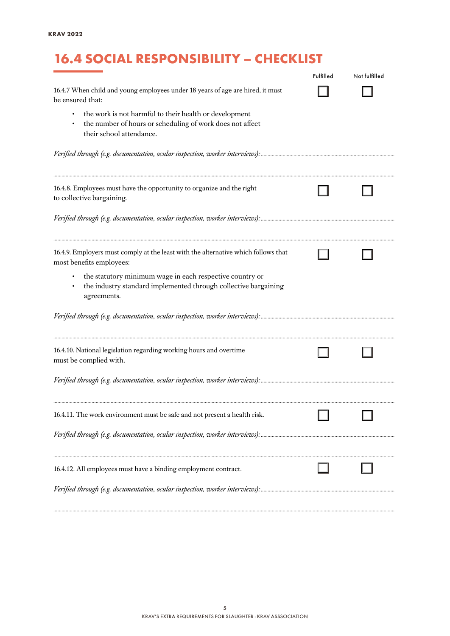## 16.4 SOCIAL RESPONSIBILITY – CHECKLIST

|                                                                                                                                                 | Fulfilled | Not fulfilled |
|-------------------------------------------------------------------------------------------------------------------------------------------------|-----------|---------------|
| 16.4.7 When child and young employees under 18 years of age are hired, it must<br>be ensured that:                                              |           |               |
| the work is not harmful to their health or development<br>the number of hours or scheduling of work does not affect<br>their school attendance. |           |               |
|                                                                                                                                                 |           |               |
| 16.4.8. Employees must have the opportunity to organize and the right<br>to collective bargaining.                                              |           |               |
|                                                                                                                                                 |           |               |
| 16.4.9. Employers must comply at the least with the alternative which follows that<br>most benefits employees:                                  |           |               |
| the statutory minimum wage in each respective country or<br>the industry standard implemented through collective bargaining<br>agreements.      |           |               |
|                                                                                                                                                 |           |               |
| 16.4.10. National legislation regarding working hours and overtime<br>must be complied with.                                                    |           |               |
|                                                                                                                                                 |           |               |
| 16.4.11. The work environment must be safe and not present a health risk.                                                                       |           |               |
|                                                                                                                                                 |           |               |
| 16.4.12. All employees must have a binding employment contract.                                                                                 |           |               |
|                                                                                                                                                 |           |               |

*..........................................................................................................................................................................................................................................................*